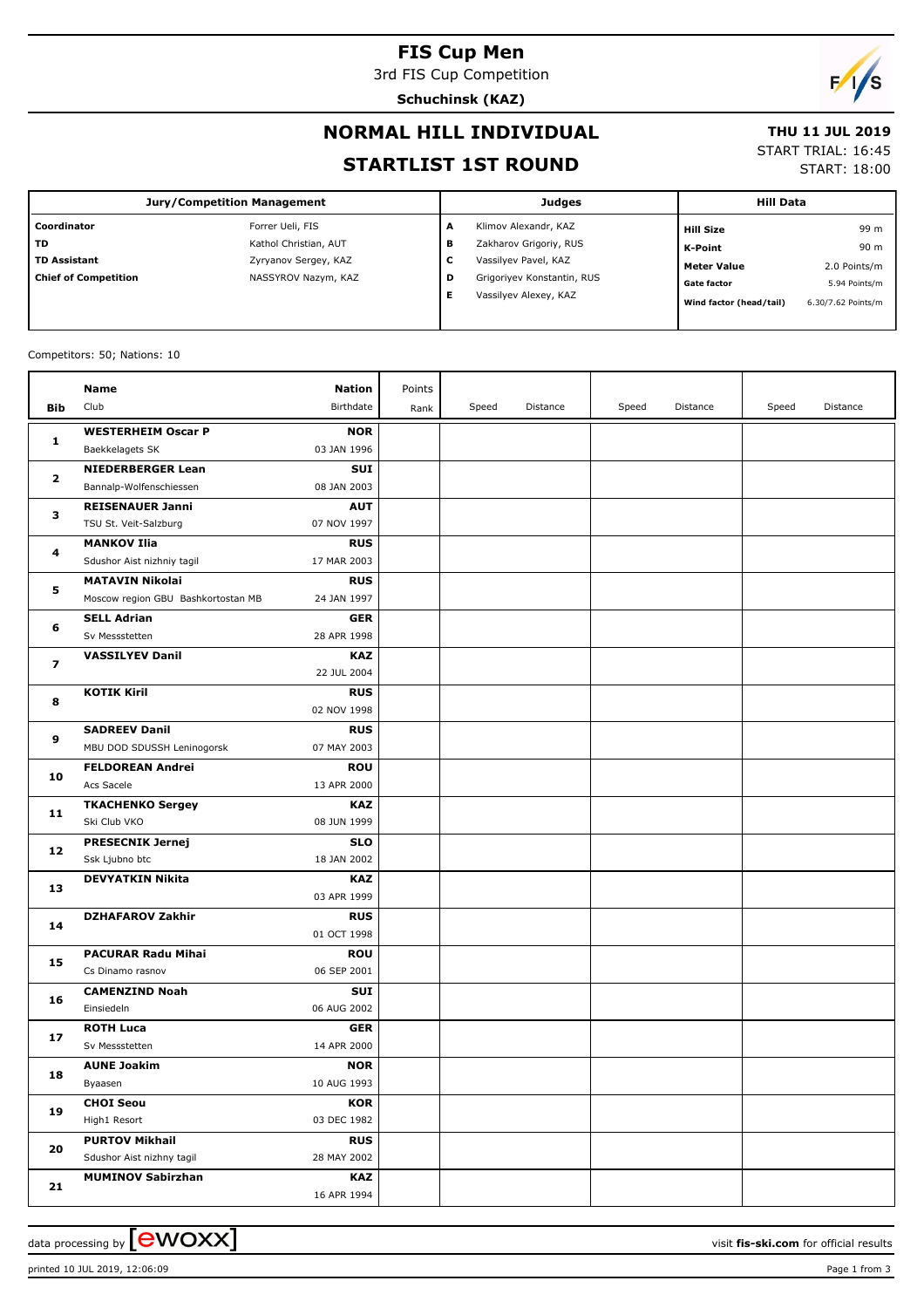#### **FIS Cup Men**

3rd FIS Cup Competition

**Schuchinsk (KAZ)**



#### **NORMAL HILL INDIVIDUAL**

# **THU 11 JUL 2019**

#### **STARTLIST 1ST ROUND**

START TRIAL: 16:45

START: 18:00

| <b>Jury/Competition Management</b> |                       |        | <b>Judges</b>              | <b>Hill Data</b>        |                    |  |
|------------------------------------|-----------------------|--------|----------------------------|-------------------------|--------------------|--|
| Coordinator                        | Forrer Ueli, FIS      | A      | Klimov Alexandr, KAZ       | <b>Hill Size</b>        | 99 m               |  |
| <b>TD</b>                          | Kathol Christian, AUT | в      | Zakharov Grigoriy, RUS     | K-Point                 | 90 m               |  |
| TD Assistant                       | Zyryanov Sergey, KAZ  | ┍<br>J | Vassilyev Pavel, KAZ       | <b>Meter Value</b>      | 2.0 Points/m       |  |
| <b>Chief of Competition</b>        | NASSYROV Nazym, KAZ   | D      | Grigoriyev Konstantin, RUS | <b>Gate factor</b>      | 5.94 Points/m      |  |
|                                    |                       | Е      | Vassilyev Alexey, KAZ      | Wind factor (head/tail) | 6.30/7.62 Points/m |  |

#### Competitors: 50; Nations: 10

|                         | Name                               | Nation                    | Points |       |          |       |          |       |          |
|-------------------------|------------------------------------|---------------------------|--------|-------|----------|-------|----------|-------|----------|
| Bib                     | Club                               | Birthdate                 | Rank   | Speed | Distance | Speed | Distance | Speed | Distance |
|                         | <b>WESTERHEIM Oscar P</b>          | <b>NOR</b>                |        |       |          |       |          |       |          |
| 1                       | Baekkelagets SK                    | 03 JAN 1996               |        |       |          |       |          |       |          |
|                         | <b>NIEDERBERGER Lean</b>           | SUI                       |        |       |          |       |          |       |          |
| 2                       | Bannalp-Wolfenschiessen            | 08 JAN 2003               |        |       |          |       |          |       |          |
|                         | <b>REISENAUER Janni</b>            | <b>AUT</b>                |        |       |          |       |          |       |          |
| з                       | TSU St. Veit-Salzburg              | 07 NOV 1997               |        |       |          |       |          |       |          |
|                         | <b>MANKOV Ilia</b>                 | <b>RUS</b>                |        |       |          |       |          |       |          |
| 4                       | Sdushor Aist nizhniy tagil         | 17 MAR 2003               |        |       |          |       |          |       |          |
|                         | <b>MATAVIN Nikolai</b>             | <b>RUS</b>                |        |       |          |       |          |       |          |
| 5                       | Moscow region GBU Bashkortostan MB | 24 JAN 1997               |        |       |          |       |          |       |          |
| 6                       | <b>SELL Adrian</b>                 | <b>GER</b>                |        |       |          |       |          |       |          |
|                         | Sv Messstetten                     | 28 APR 1998               |        |       |          |       |          |       |          |
| $\overline{\mathbf{z}}$ | <b>VASSILYEV Danil</b>             | <b>KAZ</b>                |        |       |          |       |          |       |          |
|                         |                                    | 22 JUL 2004               |        |       |          |       |          |       |          |
| 8                       | <b>KOTIK Kiril</b>                 | <b>RUS</b>                |        |       |          |       |          |       |          |
|                         |                                    | 02 NOV 1998               |        |       |          |       |          |       |          |
| 9                       | <b>SADREEV Danil</b>               | <b>RUS</b>                |        |       |          |       |          |       |          |
|                         | MBU DOD SDUSSH Leninogorsk         | 07 MAY 2003               |        |       |          |       |          |       |          |
| 10                      | <b>FELDOREAN Andrei</b>            | <b>ROU</b>                |        |       |          |       |          |       |          |
|                         | Acs Sacele                         | 13 APR 2000               |        |       |          |       |          |       |          |
| 11                      | <b>TKACHENKO Sergey</b>            | KAZ                       |        |       |          |       |          |       |          |
|                         | Ski Club VKO                       | 08 JUN 1999               |        |       |          |       |          |       |          |
| 12                      | <b>PRESECNIK Jernej</b>            | <b>SLO</b>                |        |       |          |       |          |       |          |
|                         | Ssk Ljubno btc                     | 18 JAN 2002               |        |       |          |       |          |       |          |
| 13                      | <b>DEVYATKIN Nikita</b>            | KAZ                       |        |       |          |       |          |       |          |
|                         | <b>DZHAFAROV Zakhir</b>            | 03 APR 1999               |        |       |          |       |          |       |          |
| 14                      |                                    | <b>RUS</b><br>01 OCT 1998 |        |       |          |       |          |       |          |
|                         | <b>PACURAR Radu Mihai</b>          | <b>ROU</b>                |        |       |          |       |          |       |          |
| 15                      | Cs Dinamo rasnov                   | 06 SEP 2001               |        |       |          |       |          |       |          |
|                         | <b>CAMENZIND Noah</b>              | SUI                       |        |       |          |       |          |       |          |
| 16                      | Einsiedeln                         | 06 AUG 2002               |        |       |          |       |          |       |          |
|                         | <b>ROTH Luca</b>                   | <b>GER</b>                |        |       |          |       |          |       |          |
| 17                      | Sv Messstetten                     | 14 APR 2000               |        |       |          |       |          |       |          |
|                         | <b>AUNE Joakim</b>                 | <b>NOR</b>                |        |       |          |       |          |       |          |
| 18                      | Byaasen                            | 10 AUG 1993               |        |       |          |       |          |       |          |
|                         | <b>CHOI Seou</b>                   | <b>KOR</b>                |        |       |          |       |          |       |          |
| 19                      | High1 Resort                       | 03 DEC 1982               |        |       |          |       |          |       |          |
|                         | <b>PURTOV Mikhail</b>              | <b>RUS</b>                |        |       |          |       |          |       |          |
| 20                      | Sdushor Aist nizhny tagil          | 28 MAY 2002               |        |       |          |       |          |       |          |
| 21                      | <b>MUMINOV Sabirzhan</b>           | <b>KAZ</b>                |        |       |          |       |          |       |          |
|                         |                                    | 16 APR 1994               |        |       |          |       |          |       |          |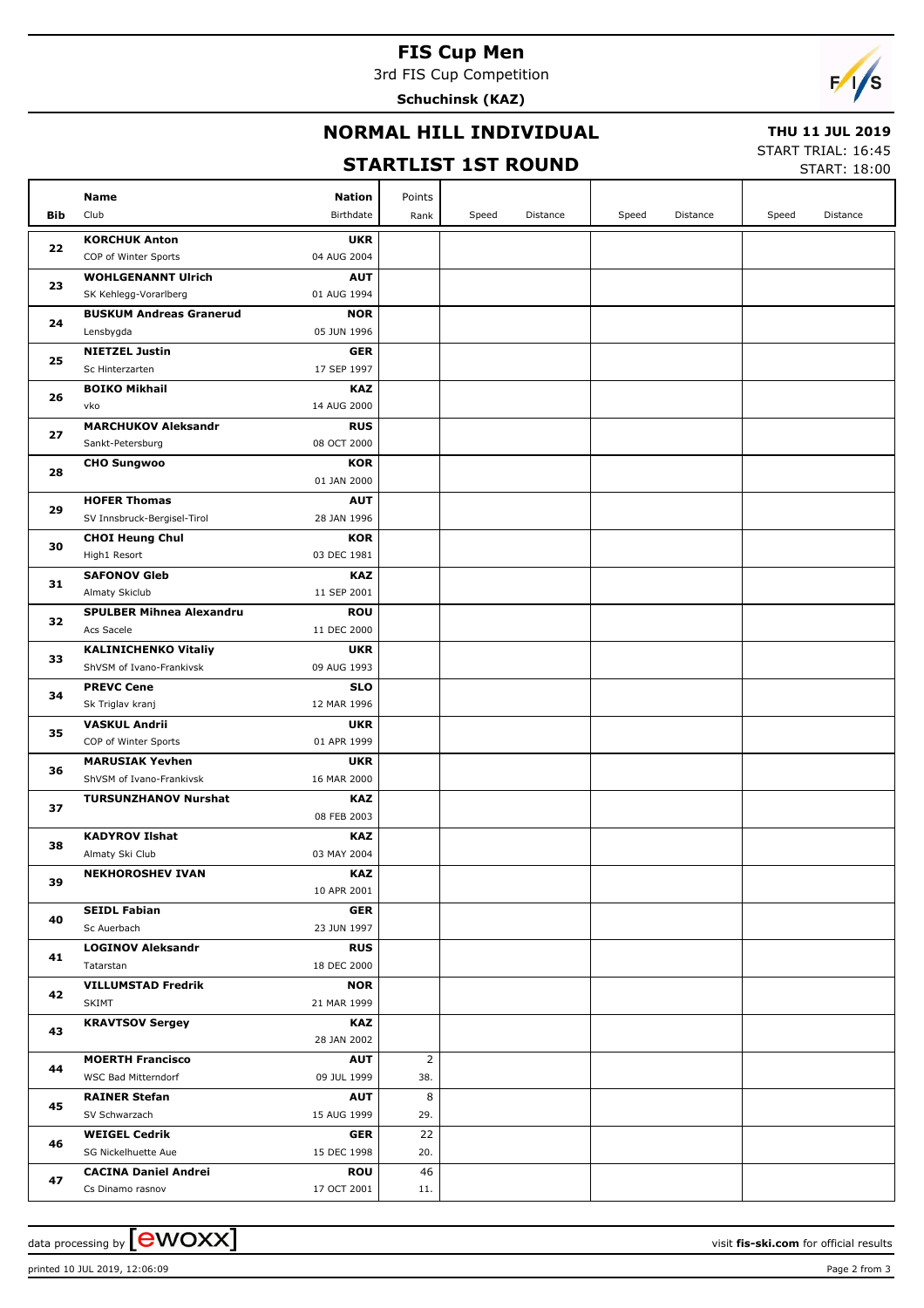## **FIS Cup Men**

3rd FIS Cup Competition

**Schuchinsk (KAZ)**



#### **NORMAL HILL INDIVIDUAL**

#### **THU 11 JUL 2019**

### **STARTLIST 1ST ROUND**

START TRIAL: 16:45

| START: 18:00 |  |
|--------------|--|
|              |  |

|     | <b>Nation</b><br>Name                                              | Points         |       |          |       |          |       |          |
|-----|--------------------------------------------------------------------|----------------|-------|----------|-------|----------|-------|----------|
| Bib | Club<br>Birthdate                                                  | Rank           | Speed | Distance | Speed | Distance | Speed | Distance |
|     | <b>KORCHUK Anton</b><br><b>UKR</b>                                 |                |       |          |       |          |       |          |
| 22  | COP of Winter Sports<br>04 AUG 2004                                |                |       |          |       |          |       |          |
|     | <b>WOHLGENANNT Ulrich</b><br><b>AUT</b>                            |                |       |          |       |          |       |          |
| 23  | SK Kehlegg-Vorarlberg<br>01 AUG 1994                               |                |       |          |       |          |       |          |
|     | <b>NOR</b><br><b>BUSKUM Andreas Granerud</b>                       |                |       |          |       |          |       |          |
| 24  | 05 JUN 1996<br>Lensbygda                                           |                |       |          |       |          |       |          |
| 25  | <b>NIETZEL Justin</b><br><b>GER</b>                                |                |       |          |       |          |       |          |
|     | Sc Hinterzarten<br>17 SEP 1997                                     |                |       |          |       |          |       |          |
| 26  | <b>BOIKO Mikhail</b><br><b>KAZ</b>                                 |                |       |          |       |          |       |          |
|     | vko<br>14 AUG 2000                                                 |                |       |          |       |          |       |          |
| 27  | <b>MARCHUKOV Aleksandr</b><br><b>RUS</b>                           |                |       |          |       |          |       |          |
|     | Sankt-Petersburg<br>08 OCT 2000                                    |                |       |          |       |          |       |          |
| 28  | <b>CHO Sungwoo</b><br><b>KOR</b>                                   |                |       |          |       |          |       |          |
|     | 01 JAN 2000                                                        |                |       |          |       |          |       |          |
| 29  | <b>HOFER Thomas</b><br><b>AUT</b>                                  |                |       |          |       |          |       |          |
|     | SV Innsbruck-Bergisel-Tirol<br>28 JAN 1996                         |                |       |          |       |          |       |          |
| 30  | <b>KOR</b><br><b>CHOI Heung Chul</b><br>03 DEC 1981                |                |       |          |       |          |       |          |
|     | High1 Resort                                                       |                |       |          |       |          |       |          |
| 31  | <b>SAFONOV Gleb</b><br><b>KAZ</b><br>Almaty Skiclub<br>11 SEP 2001 |                |       |          |       |          |       |          |
|     | <b>SPULBER Mihnea Alexandru</b><br><b>ROU</b>                      |                |       |          |       |          |       |          |
| 32  | Acs Sacele<br>11 DEC 2000                                          |                |       |          |       |          |       |          |
|     | <b>KALINICHENKO Vitaliy</b><br><b>UKR</b>                          |                |       |          |       |          |       |          |
| 33  | ShVSM of Ivano-Frankivsk<br>09 AUG 1993                            |                |       |          |       |          |       |          |
|     | <b>PREVC Cene</b><br><b>SLO</b>                                    |                |       |          |       |          |       |          |
| 34  | Sk Triglav kranj<br>12 MAR 1996                                    |                |       |          |       |          |       |          |
|     | <b>VASKUL Andrii</b><br><b>UKR</b>                                 |                |       |          |       |          |       |          |
| 35  | COP of Winter Sports<br>01 APR 1999                                |                |       |          |       |          |       |          |
| 36  | <b>UKR</b><br><b>MARUSIAK Yevhen</b>                               |                |       |          |       |          |       |          |
|     | ShVSM of Ivano-Frankivsk<br>16 MAR 2000                            |                |       |          |       |          |       |          |
| 37  | <b>TURSUNZHANOV Nurshat</b><br><b>KAZ</b>                          |                |       |          |       |          |       |          |
|     | 08 FEB 2003                                                        |                |       |          |       |          |       |          |
| 38  | <b>KADYROV Ilshat</b><br><b>KAZ</b>                                |                |       |          |       |          |       |          |
|     | Almaty Ski Club<br>03 MAY 2004                                     |                |       |          |       |          |       |          |
| 39  | <b>NEKHOROSHEV IVAN</b><br><b>KAZ</b>                              |                |       |          |       |          |       |          |
|     | 10 APR 2001                                                        |                |       |          |       |          |       |          |
| 40  | <b>SEIDL Fabian</b><br><b>GER</b><br>Sc Auerbach<br>23 JUN 1997    |                |       |          |       |          |       |          |
|     | <b>LOGINOV Aleksandr</b><br><b>RUS</b>                             |                |       |          |       |          |       |          |
| 41  | 18 DEC 2000<br>Tatarstan                                           |                |       |          |       |          |       |          |
|     | <b>VILLUMSTAD Fredrik</b><br><b>NOR</b>                            |                |       |          |       |          |       |          |
| 42  | <b>SKIMT</b><br>21 MAR 1999                                        |                |       |          |       |          |       |          |
|     | <b>KRAVTSOV Sergey</b><br><b>KAZ</b>                               |                |       |          |       |          |       |          |
| 43  | 28 JAN 2002                                                        |                |       |          |       |          |       |          |
|     | <b>MOERTH Francisco</b><br><b>AUT</b>                              | $\overline{2}$ |       |          |       |          |       |          |
| 44  | WSC Bad Mitterndorf<br>09 JUL 1999                                 | 38.            |       |          |       |          |       |          |
|     | <b>RAINER Stefan</b><br><b>AUT</b>                                 | 8              |       |          |       |          |       |          |
| 45  | SV Schwarzach<br>15 AUG 1999                                       | 29.            |       |          |       |          |       |          |
| 46  | <b>WEIGEL Cedrik</b><br><b>GER</b>                                 | 22             |       |          |       |          |       |          |
|     | SG Nickelhuette Aue<br>15 DEC 1998                                 | 20.            |       |          |       |          |       |          |
| 47  | <b>CACINA Daniel Andrei</b><br><b>ROU</b>                          | 46             |       |          |       |          |       |          |
|     | 17 OCT 2001<br>Cs Dinamo rasnov                                    | 11.            |       |          |       |          |       |          |

printed 10 JUL 2019, 12:06:09 Page 2 from 3

data processing by **CWOXX** and  $\overline{C}$  and  $\overline{C}$  and  $\overline{C}$  and  $\overline{C}$  and  $\overline{C}$  and  $\overline{C}$  and  $\overline{C}$  and  $\overline{C}$  and  $\overline{C}$  and  $\overline{C}$  and  $\overline{C}$  and  $\overline{C}$  and  $\overline{C}$  and  $\overline{C}$  and  $\overline{C}$